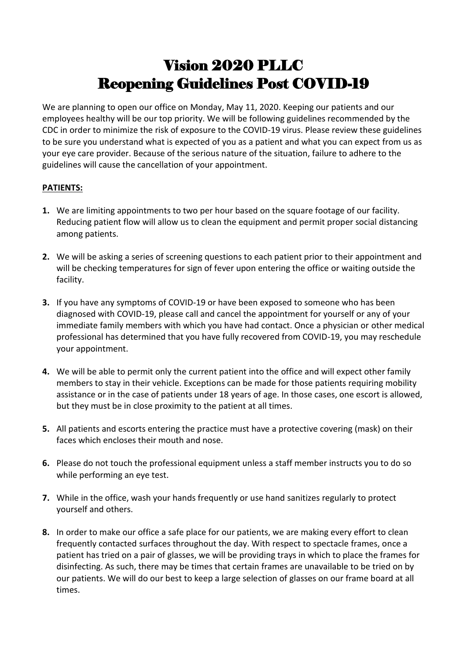## Vision 2020 PLLC Reopening Guidelines Post COVID-19

We are planning to open our office on Monday, May 11, 2020. Keeping our patients and our employees healthy will be our top priority. We will be following guidelines recommended by the CDC in order to minimize the risk of exposure to the COVID-19 virus. Please review these guidelines to be sure you understand what is expected of you as a patient and what you can expect from us as your eye care provider. Because of the serious nature of the situation, failure to adhere to the guidelines will cause the cancellation of your appointment.

## **PATIENTS:**

- **1.** We are limiting appointments to two per hour based on the square footage of our facility. Reducing patient flow will allow us to clean the equipment and permit proper social distancing among patients.
- **2.** We will be asking a series of screening questions to each patient prior to their appointment and will be checking temperatures for sign of fever upon entering the office or waiting outside the facility.
- **3.** If you have any symptoms of COVID-19 or have been exposed to someone who has been diagnosed with COVID-19, please call and cancel the appointment for yourself or any of your immediate family members with which you have had contact. Once a physician or other medical professional has determined that you have fully recovered from COVID-19, you may reschedule your appointment.
- **4.** We will be able to permit only the current patient into the office and will expect other family members to stay in their vehicle. Exceptions can be made for those patients requiring mobility assistance or in the case of patients under 18 years of age. In those cases, one escort is allowed, but they must be in close proximity to the patient at all times.
- **5.** All patients and escorts entering the practice must have a protective covering (mask) on their faces which encloses their mouth and nose.
- **6.** Please do not touch the professional equipment unless a staff member instructs you to do so while performing an eye test.
- **7.** While in the office, wash your hands frequently or use hand sanitizes regularly to protect yourself and others.
- **8.** In order to make our office a safe place for our patients, we are making every effort to clean frequently contacted surfaces throughout the day. With respect to spectacle frames, once a patient has tried on a pair of glasses, we will be providing trays in which to place the frames for disinfecting. As such, there may be times that certain frames are unavailable to be tried on by our patients. We will do our best to keep a large selection of glasses on our frame board at all times.